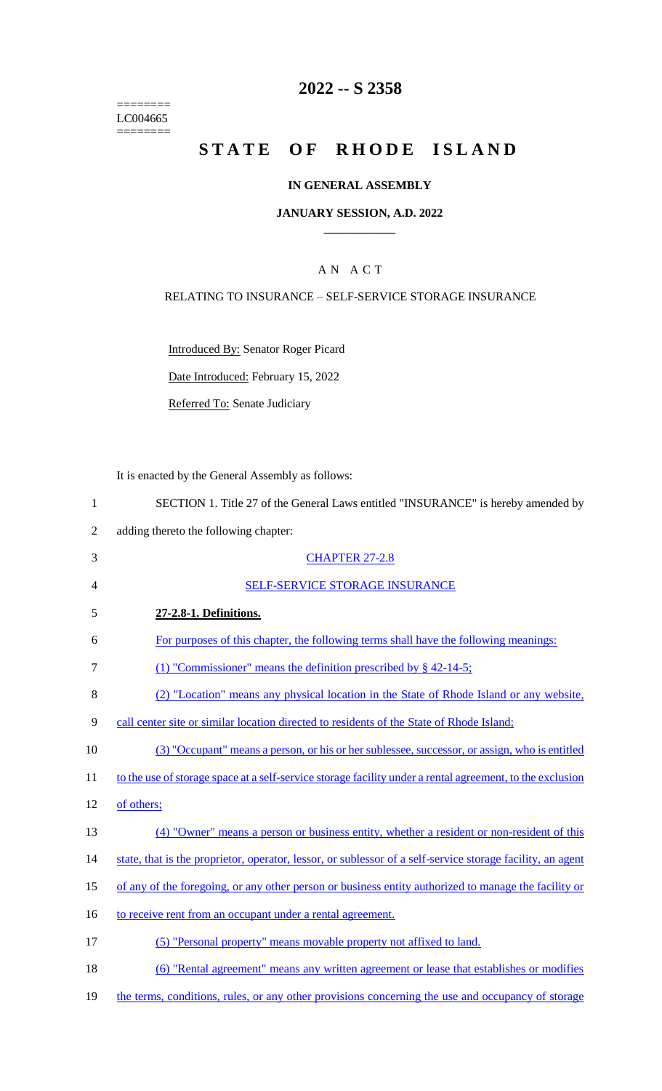======== LC004665  $=$ 

# **2022 -- S 2358**

# **STATE OF RHODE ISLAND**

#### **IN GENERAL ASSEMBLY**

#### **JANUARY SESSION, A.D. 2022 \_\_\_\_\_\_\_\_\_\_\_\_**

### A N A C T

#### RELATING TO INSURANCE – SELF-SERVICE STORAGE INSURANCE

Introduced By: Senator Roger Picard

Date Introduced: February 15, 2022

Referred To: Senate Judiciary

It is enacted by the General Assembly as follows:

| $\mathbf{1}$   | SECTION 1. Title 27 of the General Laws entitled "INSURANCE" is hereby amended by                          |
|----------------|------------------------------------------------------------------------------------------------------------|
| $\overline{2}$ | adding thereto the following chapter:                                                                      |
| 3              | <b>CHAPTER 27-2.8</b>                                                                                      |
| $\overline{4}$ | <b>SELF-SERVICE STORAGE INSURANCE</b>                                                                      |
| 5              | 27-2.8-1. Definitions.                                                                                     |
| 6              | For purposes of this chapter, the following terms shall have the following meanings:                       |
| 7              | (1) "Commissioner" means the definition prescribed by $\S$ 42-14-5;                                        |
| 8              | (2) "Location" means any physical location in the State of Rhode Island or any website,                    |
| 9              | call center site or similar location directed to residents of the State of Rhode Island;                   |
| 10             | (3) "Occupant" means a person, or his or her sublessee, successor, or assign, who is entitled              |
| 11             | to the use of storage space at a self-service storage facility under a rental agreement, to the exclusion  |
| 12             | of others;                                                                                                 |
| 13             | (4) "Owner" means a person or business entity, whether a resident or non-resident of this                  |
| 14             | state, that is the proprietor, operator, lessor, or sublessor of a self-service storage facility, an agent |
| 15             | of any of the foregoing, or any other person or business entity authorized to manage the facility or       |
| 16             | to receive rent from an occupant under a rental agreement.                                                 |
| 17             | (5) "Personal property" means movable property not affixed to land.                                        |
| 18             | (6) "Rental agreement" means any written agreement or lease that establishes or modifies                   |
| 19             | the terms, conditions, rules, or any other provisions concerning the use and occupancy of storage          |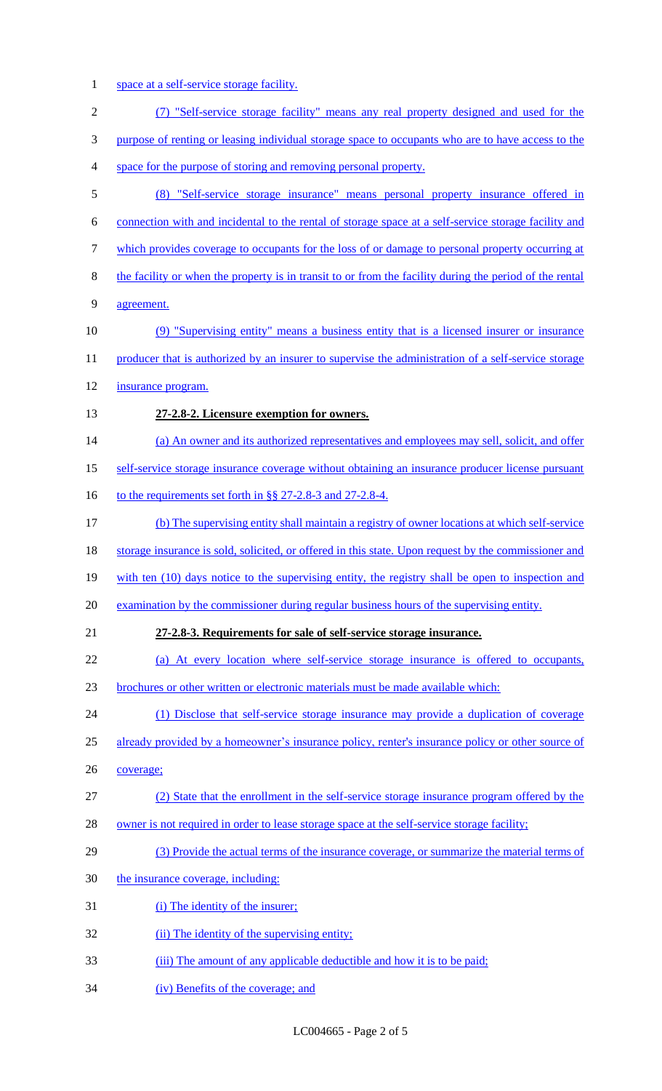1 space at a self-service storage facility.

| $\overline{2}$ | (7) "Self-service storage facility" means any real property designed and used for the                   |
|----------------|---------------------------------------------------------------------------------------------------------|
| 3              | purpose of renting or leasing individual storage space to occupants who are to have access to the       |
| $\overline{4}$ | space for the purpose of storing and removing personal property.                                        |
| $\mathfrak{S}$ | (8) "Self-service storage insurance" means personal property insurance offered in                       |
| 6              | connection with and incidental to the rental of storage space at a self-service storage facility and    |
| $\tau$         | which provides coverage to occupants for the loss of or damage to personal property occurring at        |
| $8\,$          | the facility or when the property is in transit to or from the facility during the period of the rental |
| 9              | agreement.                                                                                              |
| 10             | (9) "Supervising entity" means a business entity that is a licensed insurer or insurance                |
| 11             | producer that is authorized by an insurer to supervise the administration of a self-service storage     |
| 12             | insurance program.                                                                                      |
| 13             | 27-2.8-2. Licensure exemption for owners.                                                               |
| 14             | (a) An owner and its authorized representatives and employees may sell, solicit, and offer              |
| 15             | self-service storage insurance coverage without obtaining an insurance producer license pursuant        |
| 16             | to the requirements set forth in §§ 27-2.8-3 and 27-2.8-4.                                              |
| 17             | (b) The supervising entity shall maintain a registry of owner locations at which self-service           |
| 18             | storage insurance is sold, solicited, or offered in this state. Upon request by the commissioner and    |
| 19             | with ten (10) days notice to the supervising entity, the registry shall be open to inspection and       |
| 20             | examination by the commissioner during regular business hours of the supervising entity.                |
| 21             | 27-2.8-3. Requirements for sale of self-service storage insurance.                                      |
| 22             | (a) At every location where self-service storage insurance is offered to occupants,                     |
| 23             | brochures or other written or electronic materials must be made available which:                        |
| 24             | (1) Disclose that self-service storage insurance may provide a duplication of coverage                  |
| 25             | already provided by a homeowner's insurance policy, renter's insurance policy or other source of        |
| 26             | coverage;                                                                                               |
| 27             | (2) State that the enrollment in the self-service storage insurance program offered by the              |
| 28             | owner is not required in order to lease storage space at the self-service storage facility;             |
| 29             | (3) Provide the actual terms of the insurance coverage, or summarize the material terms of              |
| 30             | the insurance coverage, including:                                                                      |
| 31             | (i) The identity of the insurer;                                                                        |
| 32             | (ii) The identity of the supervising entity;                                                            |
| 33             | (iii) The amount of any applicable deductible and how it is to be paid;                                 |
| 34             | (iv) Benefits of the coverage; and                                                                      |

LC004665 - Page 2 of 5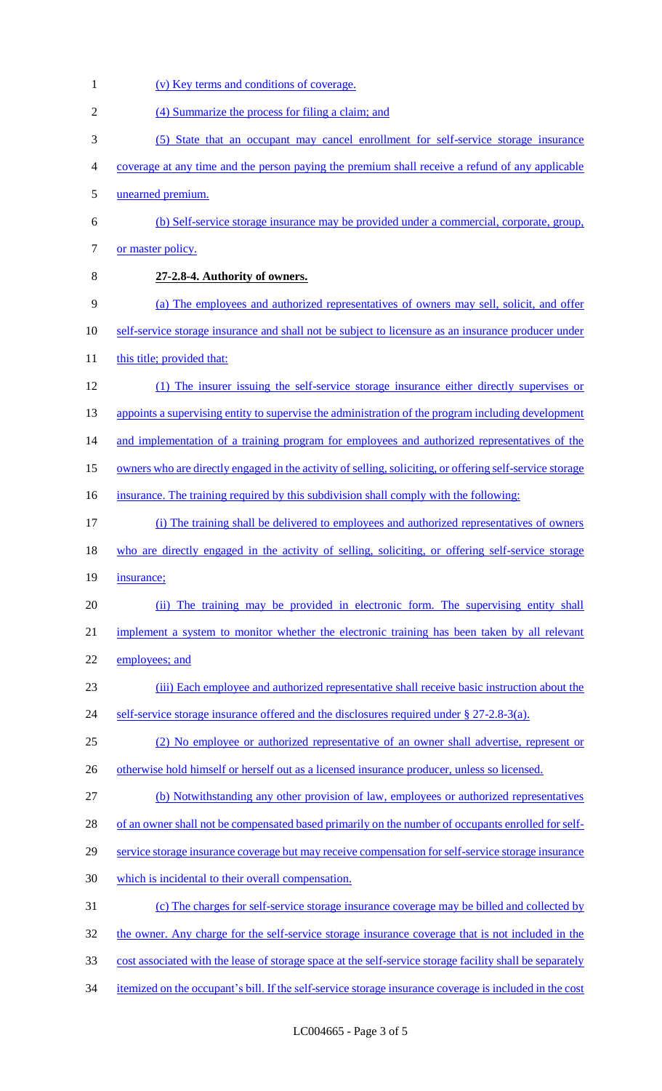1 (v) Key terms and conditions of coverage. (4) Summarize the process for filing a claim; and (5) State that an occupant may cancel enrollment for self-service storage insurance coverage at any time and the person paying the premium shall receive a refund of any applicable unearned premium. (b) Self-service storage insurance may be provided under a commercial, corporate, group, 7 or master policy. **27-2.8-4. Authority of owners.**  (a) The employees and authorized representatives of owners may sell, solicit, and offer self-service storage insurance and shall not be subject to licensure as an insurance producer under 11 this title; provided that: (1) The insurer issuing the self-service storage insurance either directly supervises or 13 appoints a supervising entity to supervise the administration of the program including development 14 and implementation of a training program for employees and authorized representatives of the owners who are directly engaged in the activity of selling, soliciting, or offering self-service storage 16 insurance. The training required by this subdivision shall comply with the following: (i) The training shall be delivered to employees and authorized representatives of owners 18 who are directly engaged in the activity of selling, soliciting, or offering self-service storage 19 insurance; (ii) The training may be provided in electronic form. The supervising entity shall implement a system to monitor whether the electronic training has been taken by all relevant 22 employees; and (iii) Each employee and authorized representative shall receive basic instruction about the 24 self-service storage insurance offered and the disclosures required under § 27-2.8-3(a). (2) No employee or authorized representative of an owner shall advertise, represent or 26 otherwise hold himself or herself out as a licensed insurance producer, unless so licensed. (b) Notwithstanding any other provision of law, employees or authorized representatives of an owner shall not be compensated based primarily on the number of occupants enrolled for self- service storage insurance coverage but may receive compensation for self-service storage insurance which is incidental to their overall compensation. (c) The charges for self-service storage insurance coverage may be billed and collected by 32 the owner. Any charge for the self-service storage insurance coverage that is not included in the 33 cost associated with the lease of storage space at the self-service storage facility shall be separately itemized on the occupant's bill. If the self-service storage insurance coverage is included in the cost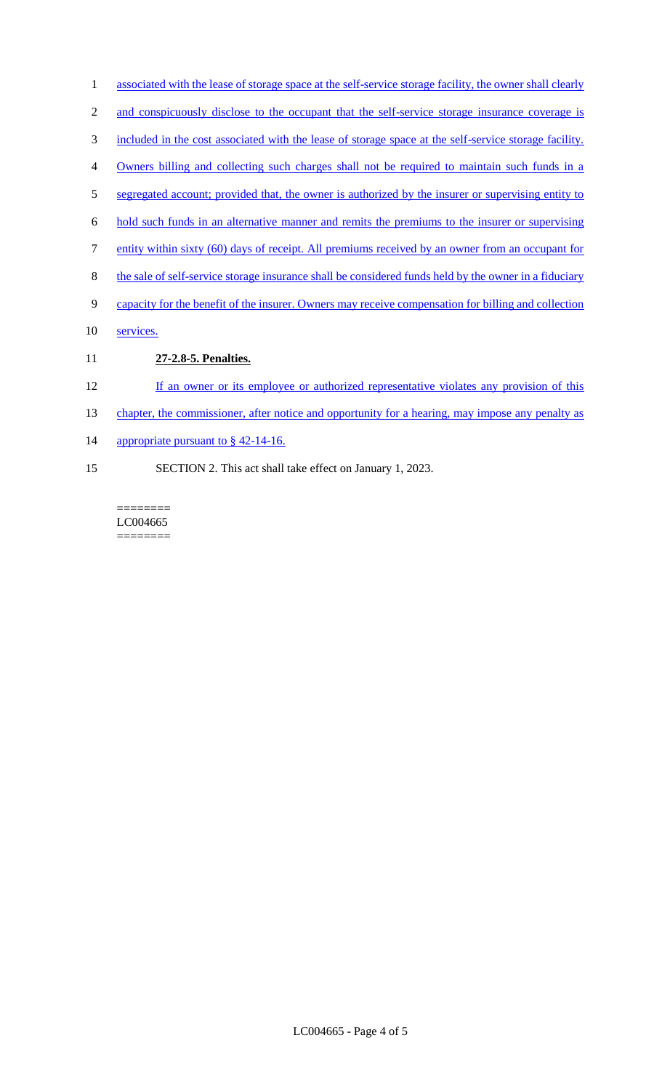- 1 associated with the lease of storage space at the self-service storage facility, the owner shall clearly
- 2 and conspicuously disclose to the occupant that the self-service storage insurance coverage is
- 3 included in the cost associated with the lease of storage space at the self-service storage facility.
- 4 Owners billing and collecting such charges shall not be required to maintain such funds in a
- 5 segregated account; provided that, the owner is authorized by the insurer or supervising entity to
- 6 hold such funds in an alternative manner and remits the premiums to the insurer or supervising
- 7 entity within sixty (60) days of receipt. All premiums received by an owner from an occupant for
- 8 the sale of self-service storage insurance shall be considered funds held by the owner in a fiduciary
- 9 capacity for the benefit of the insurer. Owners may receive compensation for billing and collection
- 10 services.
- 11 **27-2.8-5. Penalties.**
- 12 If an owner or its employee or authorized representative violates any provision of this
- 13 chapter, the commissioner, after notice and opportunity for a hearing, may impose any penalty as
- 14 appropriate pursuant to § 42-14-16.
- 15 SECTION 2. This act shall take effect on January 1, 2023.

======== LC004665 ========